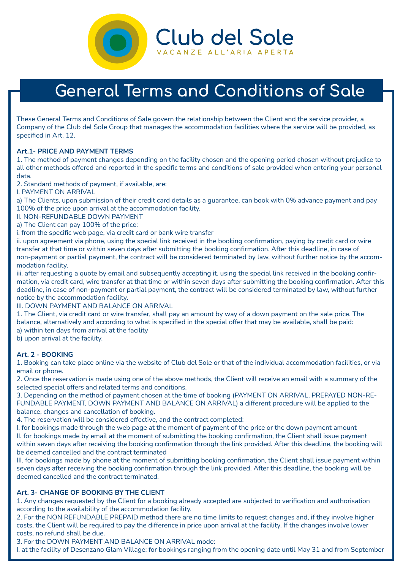

# **General Terms and Conditions of Sale**

These General Terms and Conditions of Sale govern the relationship between the Client and the service provider, a Company of the Club del Sole Group that manages the accommodation facilities where the service will be provided, as specified in Art. 12.

## **Art.1- PRICE AND PAYMENT TERMS**

1. The method of payment changes depending on the facility chosen and the opening period chosen without prejudice to all other methods offered and reported in the specific terms and conditions of sale provided when entering your personal data.

2. Standard methods of payment, if available, are:

I. PAYMENT ON ARRIVAL

a) The Clients, upon submission of their credit card details as a guarantee, can book with 0% advance payment and pay 100% of the price upon arrival at the accommodation facility.

II. NON-REFUNDABLE DOWN PAYMENT

a) The Client can pay 100% of the price:

i. from the specific web page, via credit card or bank wire transfer

ii. upon agreement via phone, using the special link received in the booking confirmation, paying by credit card or wire transfer at that time or within seven days after submitting the booking confirmation. After this deadline, in case of non-payment or partial payment, the contract will be considered terminated by law, without further notice by the accommodation facility.

iii. after requesting a quote by email and subsequently accepting it, using the special link received in the booking confirmation, via credit card, wire transfer at that time or within seven days after submitting the booking confirmation. After this deadline, in case of non-payment or partial payment, the contract will be considered terminated by law, without further notice by the accommodation facility.

III. DOWN PAYMENT AND BALANCE ON ARRIVAL

1. The Client, via credit card or wire transfer, shall pay an amount by way of a down payment on the sale price. The balance, alternatively and according to what is specified in the special offer that may be available, shall be paid: a) within ten days from arrival at the facility

b) upon arrival at the facility.

#### **Art. 2 - BOOKING**

1. Booking can take place online via the website of Club del Sole or that of the individual accommodation facilities, or via email or phone.

2. Once the reservation is made using one of the above methods, the Client will receive an email with a summary of the selected special offers and related terms and conditions.

3. Depending on the method of payment chosen at the time of booking (PAYMENT ON ARRIVAL, PREPAYED NON-RE-FUNDABLE PAYMENT, DOWN PAYMENT AND BALANCE ON ARRIVAL) a different procedure will be applied to the balance, changes and cancellation of booking.

4. The reservation will be considered effective, and the contract completed:

I. for bookings made through the web page at the moment of payment of the price or the down payment amount II. for bookings made by email at the moment of submitting the booking confirmation, the Client shall issue payment within seven days after receiving the booking confirmation through the link provided. After this deadline, the booking will be deemed cancelled and the contract terminated

III. for bookings made by phone at the moment of submitting booking confirmation, the Client shall issue payment within seven days after receiving the booking confirmation through the link provided. After this deadline, the booking will be deemed cancelled and the contract terminated.

## **Art. 3- CHANGE OF BOOKING BY THE CLIENT**

1. Any changes requested by the Client for a booking already accepted are subjected to verification and authorisation according to the availability of the accommodation facility.

2. For the NON REFUNDABLE PREPAID method there are no time limits to request changes and, if they involve higher costs, the Client will be required to pay the difference in price upon arrival at the facility. If the changes involve lower costs, no refund shall be due.

3. For the DOWN PAYMENT AND BALANCE ON ARRIVAL mode:

I. at the facility of Desenzano Glam Village: for bookings ranging from the opening date until May 31 and from September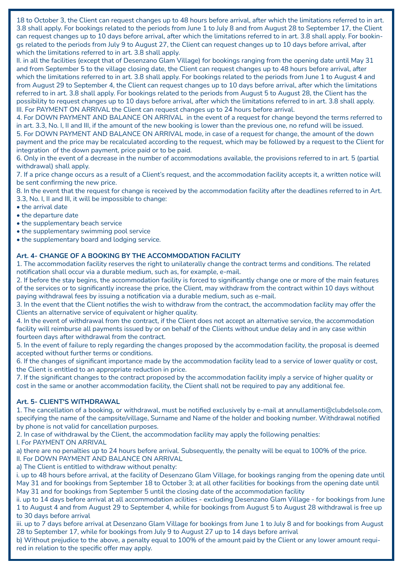18 to October 3, the Client can request changes up to 48 hours before arrival, after which the limitations referred to in art. 3.8 shall apply. For bookings related to the periods from June 1 to July 8 and from August 28 to September 17, the Client can request changes up to 10 days before arrival, after which the limitations referred to in art. 3.8 shall apply. For bookings related to the periods from July 9 to August 27, the Client can request changes up to 10 days before arrival, after which the limitations referred to in art. 3.8 shall apply.

II. in all the facilities (except that of Desenzano Glam Village) for bookings ranging from the opening date until May 31 and from September 5 to the village closing date, the Client can request changes up to 48 hours before arrival, after which the limitations referred to in art. 3.8 shall apply. For bookings related to the periods from June 1 to August 4 and from August 29 to September 4, the Client can request changes up to 10 days before arrival, after which the limitations referred to in art. 3.8 shall apply. For bookings related to the periods from August 5 to August 28, the Client has the possibility to request changes up to 10 days before arrival, after which the limitations referred to in art. 3.8 shall apply. III. For PAYMENT ON ARRIVAL the Client can request changes up to 24 hours before arrival.

4. For DOWN PAYMENT AND BALANCE ON ARRIVAL in the event of a request for change beyond the terms referred to in art. 3.3, No. I, II and III, if the amount of the new booking is lower than the previous one, no refund will be issued.

5. For DOWN PAYMENT AND BALANCE ON ARRIVAL mode, in case of a request for change, the amount of the down payment and the price may be recalculated according to the request, which may be followed by a request to the Client for integration of the down payment, price paid or to be paid.

6. Only in the event of a decrease in the number of accommodations available, the provisions referred to in art. 5 (partial withdrawal) shall apply.

7. If a price change occurs as a result of a Client's request, and the accommodation facility accepts it, a written notice will be sent confirming the new price.

8. In the event that the request for change is received by the accommodation facility after the deadlines referred to in Art. 3.3, No. I, II and III, it will be impossible to change:

- the arrival date
- the departure date
- the supplementary beach service
- the supplementary swimming pool service
- the supplementary board and lodging service.

## **Art. 4- CHANGE OF A BOOKING BY THE ACCOMMODATION FACILITY**

1. The accommodation facility reserves the right to unilaterally change the contract terms and conditions. The related notification shall occur via a durable medium, such as, for example, e-mail.

2. If before the stay begins, the accommodation facility is forced to significantly change one or more of the main features of the services or to significantly increase the price, the Client, may withdraw from the contract within 10 days without paying withdrawal fees by issuing a notification via a durable medium, such as e-mail.

3. In the event that the Client notifies the wish to withdraw from the contract, the accommodation facility may offer the Clients an alternative service of equivalent or higher quality.

4. In the event of withdrawal from the contract, if the Client does not accept an alternative service, the accommodation facility will reimburse all payments issued by or on behalf of the Clients without undue delay and in any case within fourteen days after withdrawal from the contract.

5. In the event of failure to reply regarding the changes proposed by the accommodation facility, the proposal is deemed accepted without further terms or conditions.

6. If the changes of significant importance made by the accommodation facility lead to a service of lower quality or cost, the Client is entitled to an appropriate reduction in price.

7. If the significant changes to the contract proposed by the accommodation facility imply a service of higher quality or cost in the same or another accommodation facility, the Client shall not be required to pay any additional fee.

#### **Art. 5- CLIENT'S WITHDRAWAL**

1. The cancellation of a booking, or withdrawal, must be notified exclusively by e-mail at annullamenti@clubdelsole.com, specifying the name of the campsite/village, Surname and Name of the holder and booking number. Withdrawal notified by phone is not valid for cancellation purposes.

2. In case of withdrawal by the Client, the accommodation facility may apply the following penalties: I. For PAYMENT ON ARRIVAL

a) there are no penalties up to 24 hours before arrival. Subsequently, the penalty will be equal to 100% of the price. II. For DOWN PAYMENT AND BALANCE ON ARRIVAL

a) The Client is entitled to withdraw without penalty:

i. up to 48 hours before arrival, at the facility of Desenzano Glam Village, for bookings ranging from the opening date until May 31 and for bookings from September 18 to October 3; at all other facilities for bookings from the opening date until May 31 and for bookings from September 5 until the closing date of the accommodation facility

ii. up to 14 days before arrival at all accommodation acilities - excluding Desenzano Glam Village - for bookings from June 1 to August 4 and from August 29 to September 4, while for bookings from August 5 to August 28 withdrawal is free up to 30 days before arrival

iii. up to 7 days before arrival at Desenzano Glam Village for bookings from June 1 to July 8 and for bookings from August 28 to September 17, while for bookings from July 9 to August 27 up to 14 days before arrival

b) Without prejudice to the above, a penalty equal to 100% of the amount paid by the Client or any lower amount required in relation to the specific offer may apply.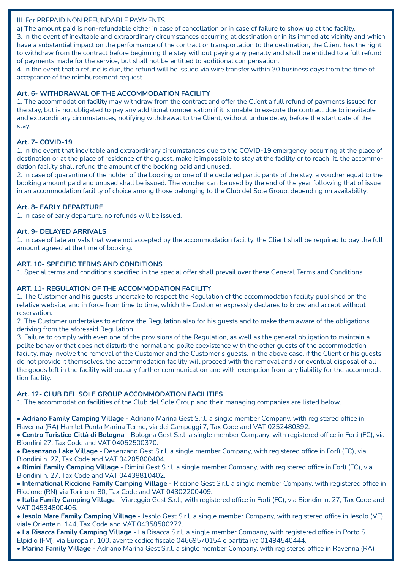#### III. For PREPAID NON REFUNDABLE PAYMENTS

a) The amount paid is non-refundable either in case of cancellation or in case of failure to show up at the facility.

3. In the event of inevitable and extraordinary circumstances occurring at destination or in its immediate vicinity and which have a substantial impact on the performance of the contract or transportation to the destination, the Client has the right to withdraw from the contract before beginning the stay without paying any penalty and shall be entitled to a full refund of payments made for the service, but shall not be entitled to additional compensation.

4. In the event that a refund is due, the refund will be issued via wire transfer within 30 business days from the time of acceptance of the reimbursement request.

## **Art. 6- WITHDRAWAL OF THE ACCOMMODATION FACILITY**

1. The accommodation facility may withdraw from the contract and offer the Client a full refund of payments issued for the stay, but is not obligated to pay any additional compensation if it is unable to execute the contract due to inevitable and extraordinary circumstances, notifying withdrawal to the Client, without undue delay, before the start date of the stay.

## **Art. 7- COVID-19**

1. In the event that inevitable and extraordinary circumstances due to the COVID-19 emergency, occurring at the place of destination or at the place of residence of the guest, make it impossible to stay at the facility or to reach it, the accommodation facility shall refund the amount of the booking paid and unused.

2. In case of quarantine of the holder of the booking or one of the declared participants of the stay, a voucher equal to the booking amount paid and unused shall be issued. The voucher can be used by the end of the year following that of issue in an accommodation facility of choice among those belonging to the Club del Sole Group, depending on availability.

## **Art. 8- EARLY DEPARTURE**

1. In case of early departure, no refunds will be issued.

## **Art. 9- DELAYED ARRIVALS**

1. In case of late arrivals that were not accepted by the accommodation facility, the Client shall be required to pay the full amount agreed at the time of booking.

#### **ART. 10- SPECIFIC TERMS AND CONDITIONS**

1. Special terms and conditions specified in the special offer shall prevail over these General Terms and Conditions.

#### **ART. 11- REGULATION OF THE ACCOMMODATION FACILITY**

1. The Customer and his guests undertake to respect the Regulation of the accommodation facility published on the relative website, and in force from time to time, which the Customer expressly declares to know and accept without reservation.

2. The Customer undertakes to enforce the Regulation also for his guests and to make them aware of the obligations deriving from the aforesaid Regulation.

3. Failure to comply with even one of the provisions of the Regulation, as well as the general obligation to maintain a polite behavior that does not disturb the normal and polite coexistence with the other guests of the accommodation facility, may involve the removal of the Customer and the Customer's guests. In the above case, if the Client or his guests do not provide it themselves, the accommodation facility will proceed with the removal and / or eventual disposal of all the goods left in the facility without any further communication and with exemption from any liability for the accommodation facility.

#### **Art. 12- CLUB DEL SOLE GROUP ACCOMMODATION FACILITIES**

1. The accommodation facilities of the Club del Sole Group and their managing companies are listed below.

• **Adriano Family Camping Village** - Adriano Marina Gest S.r.l. a single member Company, with registered office in Ravenna (RA) Hamlet Punta Marina Terme, via dei Campeggi 7, Tax Code and VAT 0252480392.

• **Centro Turistico Città di Bologna** - Bologna Gest S.r.l. a single member Company, with registered office in Forlì (FC), via Biondini 27, Tax Code and VAT 04052500370.

• **Desenzano Lake Village** - Desenzano Gest S.r.l. a single member Company, with registered office in Forlì (FC), via Biondini n. 27, Tax Code and VAT 04205800404.

• **Rimini Family Camping Village** - Rimini Gest S.r.l. a single member Company, with registered office in Forlì (FC), via Biondini n. 27, Tax Code and VAT 04438810402.

• **International Riccione Family Camping Village** - Riccione Gest S.r.l. a single member Company, with registered office in Riccione (RN) via Torino n. 80, Tax Code and VAT 04302200409.

• **Italia Family Camping Village** - Viareggio Gest S.r.l., with registered office in Forlì (FC), via Biondini n. 27, Tax Code and VAT 04534800406.

• **Jesolo Mare Family Camping Village** - Jesolo Gest S.r.l. a single member Company, with registered office in Jesolo (VE), viale Oriente n. 144, Tax Code and VAT 04358500272.

• **La Risacca Family Camping Village** - La Risacca S.r.l. a single member Company, with registered office in Porto S. Elpidio (FM), via Europa n. 100, avente codice fiscale 04669570154 e partita iva 01494540444.

• **Marina Family Village** - Adriano Marina Gest S.r.l. a single member Company, with registered office in Ravenna (RA)